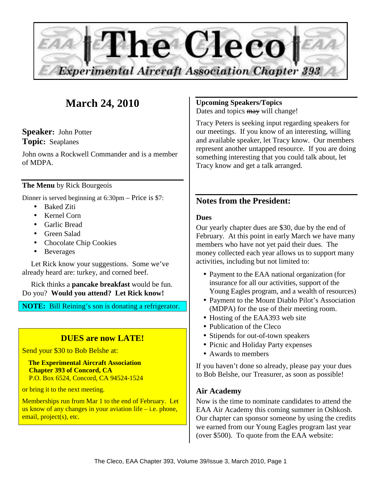

# **March 24, 2010**

**Speaker:** John Potter **Topic:** Seaplanes

John owns a Rockwell Commander and is a member of MDPA.

## **The Menu** by Rick Bourgeois

Dinner is served beginning at 6:30pm – Price is \$7:

- Baked Ziti
- Kernel Corn
- Garlic Bread
- Green Salad
- Chocolate Chip Cookies
- Beverages

Let Rick know your suggestions. Some we've already heard are: turkey, and corned beef.

Rick thinks a **pancake breakfast** would be fun. Do you? **Would you attend? Let Rick know!** 

**NOTE:** Bill Reining's son is donating a refrigerator.

## **DUES are now LATE!**

Send your \$30 to Bob Belshe at:

 **The Experimental Aircraft Association Chapter 393 of Concord, CA**  P.O. Box 6524, Concord, CA 94524-1524

or bring it to the next meeting.

Memberships run from Mar 1 to the end of February. Let us know of any changes in your aviation life – i.e. phone, email, project(s), etc.

## **Upcoming Speakers/Topics**

Dates and topics may will change!

Tracy Peters is seeking input regarding speakers for our meetings. If you know of an interesting, willing and available speaker, let Tracy know. Our members represent another untapped resource. If you are doing something interesting that you could talk about, let Tracy know and get a talk arranged.

## **Notes from the President:**

## **Dues**

Our yearly chapter dues are \$30, due by the end of February. At this point in early March we have many members who have not yet paid their dues. The money collected each year allows us to support many activities, including but not limited to:

- Payment to the EAA national organization (for insurance for all our activities, support of the Young Eagles program, and a wealth of resources)
- Payment to the Mount Diablo Pilot's Association (MDPA) for the use of their meeting room.
- Hosting of the EAA393 web site
- Publication of the Cleco
- Stipends for out-of-town speakers
- Picnic and Holiday Party expenses
- Awards to members

If you haven't done so already, please pay your dues to Bob Belshe, our Treasurer, as soon as possible!

## **Air Academy**

Now is the time to nominate candidates to attend the EAA Air Academy this coming summer in Oshkosh. Our chapter can sponsor someone by using the credits we earned from our Young Eagles program last year (over \$500). To quote from the EAA website: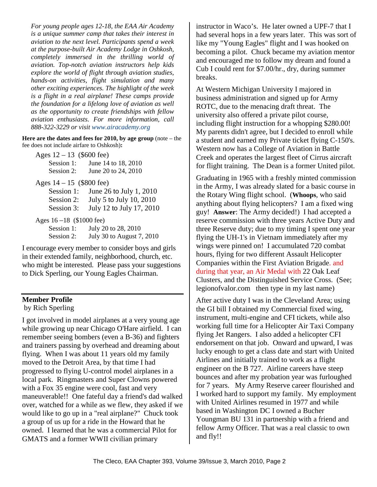*For young people ages 12-18, the EAA Air Academy is a unique summer camp that takes their interest in aviation to the next level. Participants spend a week at the purpose-built Air Academy Lodge in Oshkosh, completely immersed in the thrilling world of aviation. Top-notch aviation instructors help kids explore the world of flight through aviation studies, hands-on activities, flight simulation and many other exciting experiences. The highlight of the week is a flight in a real airplane! These camps provide the foundation for a lifelong love of aviation as well as the opportunity to create friendships with fellow aviation enthusiasts. For more information, call 888-322-3229 or visit www.airacademy.org*

**Here are the dates and fees for 2010, by age group** (note – the fee does not include airfare to Oshkosh)**:** 

| Ages $12 - 13$ (\$600 fee)                |                           |  |
|-------------------------------------------|---------------------------|--|
| Session 1:                                | June 14 to 18, 2010       |  |
| Session 2:                                | June 20 to 24, 2010       |  |
| Ages $14 - 15$ (\$800 fee)                |                           |  |
| Session 1:                                | June 26 to July 1, 2010   |  |
| Session 2:                                | July 5 to July 10, 2010   |  |
| Session 3:                                | July 12 to July 17, 2010  |  |
| Ages $16 - 18$ (\$1000 fee)               |                           |  |
| Session 1:                                | July 20 to 28, 2010       |  |
| Session 2:                                | July 30 to August 7, 2010 |  |
| courage every member to consider boys and |                           |  |

I encourage every member to consider boys and girls in their extended family, neighborhood, church, etc. who might be interested. Please pass your suggestions to Dick Sperling, our Young Eagles Chairman.

## **Member Profile**

by Rich Sperling

I got involved in model airplanes at a very young age while growing up near Chicago O'Hare airfield. I can remember seeing bombers (even a B-36) and fighters and trainers passing by overhead and dreaming about flying. When I was about 11 years old my family moved to the Detroit Area, by that time I had progressed to flying U-control model airplanes in a local park. Ringmasters and Super Clowns powered with a Fox 35 engine were cool, fast and very maneuverable!! One fateful day a friend's dad walked over, watched for a while as we flew, they asked if we would like to go up in a "real airplane?" Chuck took a group of us up for a ride in the Howard that he owned. I learned that he was a commercial Pilot for GMATS and a former WWII civilian primary

instructor in Waco's. He later owned a UPF-7 that I had several hops in a few years later. This was sort of like my "Young Eagles" flight and I was hooked on becoming a pilot. Chuck became my aviation mentor and encouraged me to follow my dream and found a Cub I could rent for \$7.00/hr., dry, during summer breaks.

At Western Michigan University I majored in business administration and signed up for Army ROTC, due to the menacing draft threat. The university also offered a private pilot course, including flight instruction for a whopping \$280.00! My parents didn't agree, but I decided to enroll while a student and earned my Private ticket flying C-150's. Western now has a College of Aviation in Battle Creek and operates the largest fleet of Cirrus aircraft for flight training. The Dean is a former United pilot.

Graduating in 1965 with a freshly minted commission in the Army, I was already slated for a basic course in the Rotary Wing flight school. (**Whoops**, who said anything about flying helicopters? I am a fixed wing guy! **Answer**: The Army decided!) I had accepted a reserve commission with three years Active Duty and three Reserve duty; due to my timing I spent one year flying the UH-1's in Vietnam immediately after my wings were pinned on! I accumulated 720 combat hours, flying for two different Assault Helicopter Companies within the First Aviation Brigade. and during that year, an Air Medal with 22 Oak Leaf Clusters, and the Distinguished Service Cross. (See; legionofvalor.com then type in my last name)

After active duty I was in the Cleveland Area; using the GI bill I obtained my Commercial fixed wing, instrument, multi-engine and CFI tickets, while also working full time for a Helicopter Air Taxi Company flying Jet Rangers. I also added a helicopter CFI endorsement on that job. Onward and upward, I was lucky enough to get a class date and start with United Airlines and initially trained to work as a flight engineer on the B 727. Airline careers have steep bounces and after my probation year was furloughed for 7 years. My Army Reserve career flourished and I worked hard to support my family. My employment with United Airlines resumed in 1977 and while based in Washington DC I owned a Bucher Youngman BU 131 in partnership with a friend and fellow Army Officer. That was a real classic to own and fly!!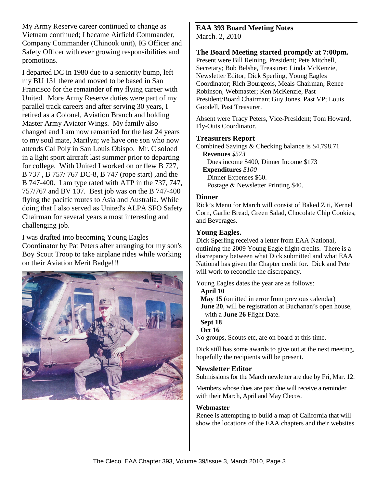My Army Reserve career continued to change as Vietnam continued; I became Airfield Commander, Company Commander (Chinook unit), IG Officer and Safety Officer with ever growing responsibilities and promotions.

I departed DC in 1980 due to a seniority bump, left my BU 131 there and moved to be based in San Francisco for the remainder of my flying career with United. More Army Reserve duties were part of my parallel track careers and after serving 30 years, I retired as a Colonel, Aviation Branch and holding Master Army Aviator Wings. My family also changed and I am now remarried for the last 24 years to my soul mate, Marilyn; we have one son who now attends Cal Poly in San Louis Obispo. Mr. C soloed in a light sport aircraft last summer prior to departing for college. With United I worked on or flew B 727, B 737 , B 757/ 767 DC-8, B 747 (rope start) ,and the B 747-400. I am type rated with ATP in the 737, 747, 757/767 and BV 107. Best job was on the B 747-400 flying the pacific routes to Asia and Australia. While doing that I also served as United's ALPA SFO Safety Chairman for several years a most interesting and challenging job.

I was drafted into becoming Young Eagles Coordinator by Pat Peters after arranging for my son's Boy Scout Troop to take airplane rides while working on their Aviation Merit Badge!!!



## **EAA 393 Board Meeting Notes**  March. 2, 2010

## **The Board Meeting started promptly at 7:00pm.**

Present were Bill Reining, President; Pete Mitchell, Secretary; Bob Belshe, Treasurer; Linda McKenzie, Newsletter Editor; Dick Sperling, Young Eagles Coordinator; Rich Bourgeois, Meals Chairman; Renee Robinson, Webmaster; Ken McKenzie, Past President/Board Chairman; Guy Jones, Past VP; Louis Goodell, Past Treasurer.

Absent were Tracy Peters, Vice-President; Tom Howard, Fly-Outs Coordinator.

#### **Treasurers Report**

Combined Savings & Checking balance is \$4,798.71 **Revenues** *\$573*  Dues income \$400, Dinner Income \$173 **Expenditures** *\$100*  Dinner Expenses \$60. Postage & Newsletter Printing \$40.

#### **Dinner**

Rick's Menu for March will consist of Baked Ziti, Kernel Corn, Garlic Bread, Green Salad, Chocolate Chip Cookies, and Beverages.

#### **Young Eagles.**

Dick Sperling received a letter from EAA National, outlining the 2009 Young Eagle flight credits. There is a discrepancy between what Dick submitted and what EAA National has given the Chapter credit for. Dick and Pete will work to reconcile the discrepancy.

Young Eagles dates the year are as follows:

**April 10** 

**May 15** (omitted in error from previous calendar) **June 20**, will be registration at Buchanan's open house, with a **June 26** Flight Date.

**Sept 18** 

#### **Oct 16**

No groups, Scouts etc, are on board at this time.

Dick still has some awards to give out at the next meeting, hopefully the recipients will be present.

## **Newsletter Editor**

Submissions for the March newletter are due by Fri, Mar. 12.

Members whose dues are past due will receive a reminder with their March, April and May Clecos.

#### **Webmaster**

Renee is attempting to build a map of California that will show the locations of the EAA chapters and their websites.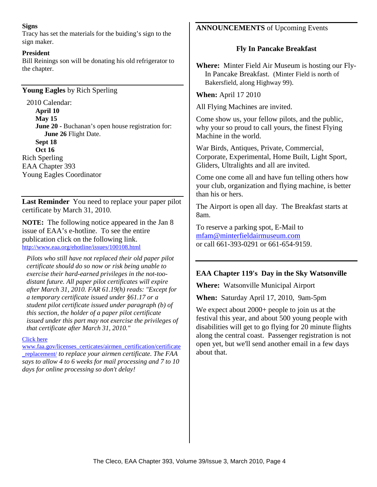#### **Signs**

Tracy has set the materials for the buiding's sign to the sign maker.

#### **President**

Bill Reinings son will be donating his old refrigerator to the chapter.

**Young Eagles** by Rich Sperling

2010 Calendar: **April 10 May 15 June 20 - Buchanan's open house registration for: June 26** Flight Date. **Sept 18 Oct 16**  Rich Sperling EAA Chapter 393 Young Eagles Coordinator

**Last Reminder** You need to replace your paper pilot certificate by March 31, 2010.

**NOTE:** The following notice appeared in the Jan 8 issue of EAA's e-hotline. To see the entire publication click on the following link. http://www.eaa.org/ehotline/issues/100108.html

*Pilots who still have not replaced their old paper pilot certificate should do so now or risk being unable to exercise their hard-earned privileges in the not-toodistant future. All paper pilot certificates will expire after March 31, 2010. FAR 61.19(h) reads: "Except for a temporary certificate issued under §61.17 or a student pilot certificate issued under paragraph (b) of this section, the holder of a paper pilot certificate issued under this part may not exercise the privileges of that certificate after March 31, 2010."* 

Click here

www.faa.gov/licenses\_certicates/airmen\_certification/certificate \_replacement/ *to replace your airmen certificate. The FAA says to allow 4 to 6 weeks for mail processing and 7 to 10 days for online processing so don't delay!* 

## **ANNOUNCEMENTS** of Upcoming Events

## **Fly In Pancake Breakfast**

**Where:** Minter Field Air Museum is hosting our Fly-In Pancake Breakfast. (Minter Field is north of Bakersfield, along Highway 99).

**When:** April 17 2010

All Flying Machines are invited.

Come show us, your fellow pilots, and the public, why your so proud to call yours, the finest Flying Machine in the world.

War Birds, Antiques, Private, Commercial, Corporate, Experimental, Home Built, Light Sport, Gliders, Ultralights and all are invited.

Come one come all and have fun telling others how your club, organization and flying machine, is better than his or hers.

The Airport is open all day. The Breakfast starts at 8am.

To reserve a parking spot, E-Mail to mfam@minterfieldairmuseum.com or call 661-393-0291 or 661-654-9159.

## **EAA Chapter 119's Day in the Sky Watsonville**

**Where:** Watsonville Municipal Airport

**When:** Saturday April 17, 2010, 9am-5pm

We expect about 2000+ people to join us at the festival this year, and about 500 young people with disabilities will get to go flying for 20 minute flights along the central coast. Passenger registration is not open yet, but we'll send another email in a few days about that.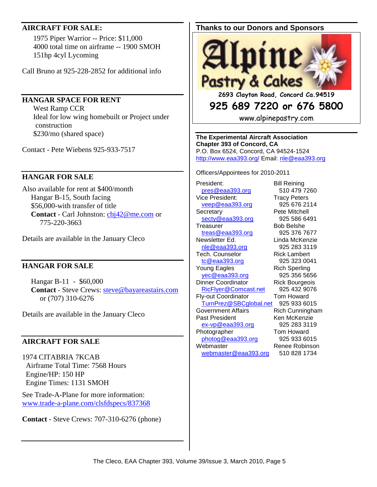## **AIRCRAFT FOR SALE:**

 1975 Piper Warrior -- Price: \$11,000 4000 total time on airframe -- 1900 SMOH 151hp 4cyl Lycoming

Call Bruno at 925-228-2852 for additional info

## **HANGAR SPACE FOR RENT**

 West Ramp CCR Ideal for low wing homebuilt or Project under construction \$230/mo (shared space)

Contact - Pete Wiebens 925-933-7517

## **HANGAR FOR SALE**

Also available for rent at \$400/month Hangar B-15, South facing \$56,000-with transfer of title **Contact** - Carl Johnston: cbj42@me.com or 775-220-3663

Details are available in the January Cleco

## **HANGAR FOR SALE**

Hangar B-11 - \$60,000 **Contact** - Steve Crews: steve@bayareastairs.com or (707) 310-6276

Details are available in the January Cleco

## **AIRCRAFT FOR SALE**

1974 CITABRIA 7KCAB Airframe Total Time: 7568 Hours Engine/HP: 150 HP Engine Times: 1131 SMOH

See Trade-A-Plane for more information: www.trade-a-plane.com/clsfdspecs/837368

**Contact** - Steve Crews: 707-310-6276 (phone)

## **Thanks to our Donors and Sponsors**



**2693 Clayton Road, Concord Ca.94519** 

## **925 689 7220 or 676 5800**

www.alpinepastry.com

**The Experimental Aircraft Association Chapter 393 of Concord, CA**  P.O. Box 6524, Concord, CA 94524-1524 http://www.eaa393.org/ Email: nle@eaa393.org

Officers/Appointees for 2010-2011

President: Bill Reining pres@eaa393.org 510 479 7260 Vice President: Tracy Peters veep@eaa393.org 925 676 2114 Secretary **Pete Mitchell** secty@eaa393.org 925 586 6491 Treasurer Bob Belshe treas@eaa393.org 925 376 7677 Newsletter Ed. Linda McKenzie nle@eaa393.org 925 283 3119 Tech. Counselor **Rick Lambert** tc@eaa393.org 925 323 0041 Young Eagles **Rich Sperling** yec@eaa393.org 925 356 5656 Dinner Coordinator **Rick Bourgeois** RicFlyer@Comcast.net 925 432 9076 Fly-out Coordinator Tom Howard TurnPrez@SBCglobal.net 925 933 6015 Government Affairs **Rich Cunningham** Past President Ken McKenzie ex-vp@eaa393.org 925 283 3119 Photographer Tom Howard photog@eaa393.org 925 933 6015 Webmaster Renee Robinson